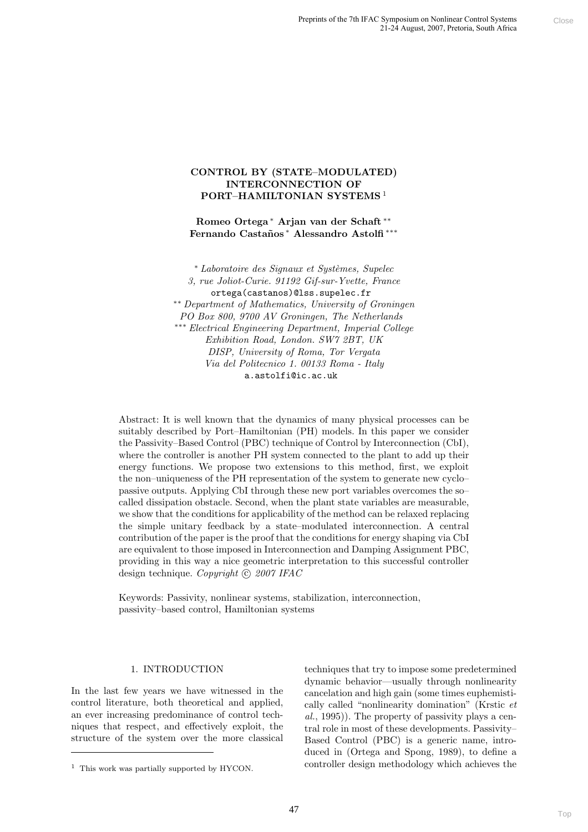# CONTROL BY (STATE–MODULATED) INTERCONNECTION OF PORT–HAMILTONIAN SYSTEMS<sup>1</sup>

Romeo Ortega <sup>∗</sup> Arjan van der Schaft ∗∗ Fernando Castaños \* Alessandro Astolfi \*\*\*

\* Laboratoire des Signaux et Systèmes, Supelec 3, rue Joliot-Curie. 91192 Gif-sur-Yvette, France ortega(castanos)@lss.supelec.fr ∗∗ Department of Mathematics, University of Groningen PO Box 800, 9700 AV Groningen, The Netherlands ∗∗∗ Electrical Engineering Department, Imperial College Exhibition Road, London. SW7 2BT, UK DISP, University of Roma, Tor Vergata Via del Politecnico 1. 00133 Roma - Italy a.astolfi@ic.ac.uk

Abstract: It is well known that the dynamics of many physical processes can be suitably described by Port–Hamiltonian (PH) models. In this paper we consider the Passivity–Based Control (PBC) technique of Control by Interconnection (CbI), where the controller is another PH system connected to the plant to add up their energy functions. We propose two extensions to this method, first, we exploit the non–uniqueness of the PH representation of the system to generate new cyclo– passive outputs. Applying CbI through these new port variables overcomes the so– called dissipation obstacle. Second, when the plant state variables are measurable, we show that the conditions for applicability of the method can be relaxed replacing the simple unitary feedback by a state–modulated interconnection. A central contribution of the paper is the proof that the conditions for energy shaping via CbI are equivalent to those imposed in Interconnection and Damping Assignment PBC, providing in this way a nice geometric interpretation to this successful controller design technique. Copyright  $\odot$  2007 IFAC **Frames of the ABIAN Approaches and Sourcest Correlation**<br> **ATTE-MODULTATED)**<br> **ATTE-MODULTATED**<br> **ACTION OFF** AMERICANT (DVI)<br> **NECTION OFF** AND STRING 4<br> **ADVISION SYSTEMS** 4<br> **ADVISION SYSTEMS** 4<br> **ADVISION SYSTEMS** 4<br>

Keywords: Passivity, nonlinear systems, stabilization, interconnection, passivity–based control, Hamiltonian systems

### 1. INTRODUCTION

In the last few years we have witnessed in the control literature, both theoretical and applied, an ever increasing predominance of control techniques that respect, and effectively exploit, the structure of the system over the more classical

techniques that try to impose some predetermined dynamic behavior—usually through nonlinearity cancelation and high gain (some times euphemistically called "nonlinearity domination" (Krstic et al., 1995)). The property of passivity plays a central role in most of these developments. Passivity– Based Control (PBC) is a generic name, introduced in (Ortega and Spong, 1989), to define a controller design methodology which achieves the

<sup>1</sup> This work was partially supported by HYCON.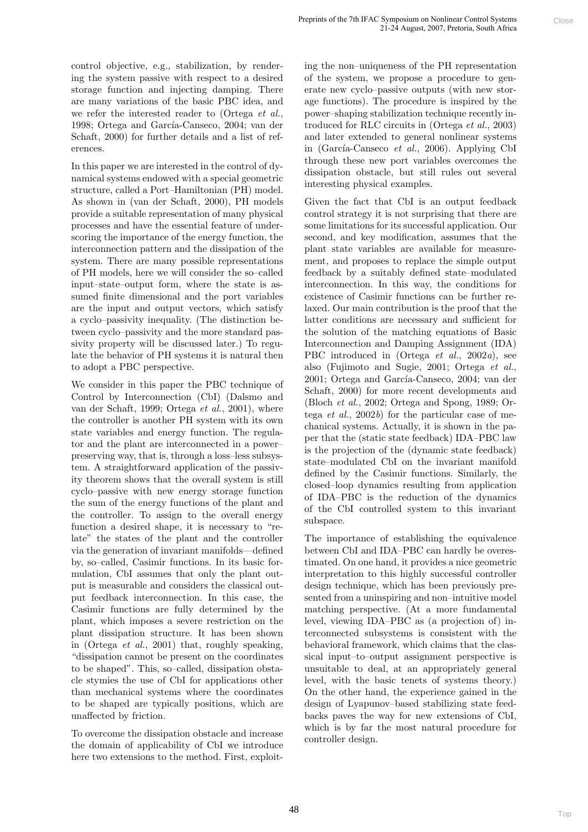control objective, e.g., stabilization, by rendering the system passive with respect to a desired storage function and injecting damping. There are many variations of the basic PBC idea, and we refer the interested reader to (Ortega et al., 1998; Ortega and García-Canseco, 2004; van der Schaft, 2000) for further details and a list of references.

In this paper we are interested in the control of dynamical systems endowed with a special geometric structure, called a Port–Hamiltonian (PH) model. As shown in (van der Schaft, 2000), PH models provide a suitable representation of many physical processes and have the essential feature of underscoring the importance of the energy function, the interconnection pattern and the dissipation of the system. There are many possible representations of PH models, here we will consider the so–called input–state–output form, where the state is assumed finite dimensional and the port variables are the input and output vectors, which satisfy a cyclo–passivity inequality. (The distinction between cyclo–passivity and the more standard passivity property will be discussed later.) To regulate the behavior of PH systems it is natural then to adopt a PBC perspective.

We consider in this paper the PBC technique of Control by Interconnection (CbI) (Dalsmo and van der Schaft, 1999; Ortega et al., 2001), where the controller is another PH system with its own state variables and energy function. The regulator and the plant are interconnected in a power– preserving way, that is, through a loss–less subsystem. A straightforward application of the passivity theorem shows that the overall system is still cyclo–passive with new energy storage function the sum of the energy functions of the plant and the controller. To assign to the overall energy function a desired shape, it is necessary to "relate" the states of the plant and the controller via the generation of invariant manifolds—defined by, so–called, Casimir functions. In its basic formulation, CbI assumes that only the plant output is measurable and considers the classical output feedback interconnection. In this case, the Casimir functions are fully determined by the plant, which imposes a severe restriction on the plant dissipation structure. It has been shown in (Ortega et al., 2001) that, roughly speaking, "dissipation cannot be present on the coordinates to be shaped". This, so–called, dissipation obstacle stymies the use of CbI for applications other than mechanical systems where the coordinates to be shaped are typically positions, which are unaffected by friction.

To overcome the dissipation obstacle and increase the domain of applicability of CbI we introduce here two extensions to the method. First, exploiting the non–uniqueness of the PH representation of the system, we propose a procedure to generate new cyclo–passive outputs (with new storage functions). The procedure is inspired by the power–shaping stabilization technique recently introduced for RLC circuits in (Ortega et al., 2003) and later extended to general nonlinear systems in (García-Canseco et al., 2006). Applying CbI through these new port variables overcomes the dissipation obstacle, but still rules out several interesting physical examples.

Given the fact that CbI is an output feedback control strategy it is not surprising that there are some limitations for its successful application. Our second, and key modification, assumes that the plant state variables are available for measurement, and proposes to replace the simple output feedback by a suitably defined state–modulated interconnection. In this way, the conditions for existence of Casimir functions can be further relaxed. Our main contribution is the proof that the latter conditions are necessary and sufficient for the solution of the matching equations of Basic Interconnection and Damping Assignment (IDA) PBC introduced in (Ortega et al., 2002a), see also (Fujimoto and Sugie, 2001; Ortega et al., 2001; Ortega and García-Canseco, 2004; van der Schaft, 2000) for more recent developments and (Bloch et al., 2002; Ortega and Spong, 1989; Ortega *et al.*, 2002b) for the particular case of mechanical systems. Actually, it is shown in the paper that the (static state feedback) IDA–PBC law is the projection of the (dynamic state feedback) state–modulated CbI on the invariant manifold defined by the Casimir functions. Similarly, the closed–loop dynamics resulting from application of IDA–PBC is the reduction of the dynamics of the CbI controlled system to this invariant subspace. repares ertas relivate, genomente wormente content content content content and the potential between the content of the potential and in the potential of the potential content of the potential content of the potential con

The importance of establishing the equivalence between CbI and IDA–PBC can hardly be overestimated. On one hand, it provides a nice geometric interpretation to this highly successful controller design technique, which has been previously presented from a uninspiring and non–intuitive model matching perspective. (At a more fundamental level, viewing IDA–PBC as (a projection of) interconnected subsystems is consistent with the behavioral framework, which claims that the classical input–to–output assignment perspective is unsuitable to deal, at an appropriately general level, with the basic tenets of systems theory.) On the other hand, the experience gained in the design of Lyapunov–based stabilizing state feedbacks paves the way for new extensions of CbI, which is by far the most natural procedure for controller design.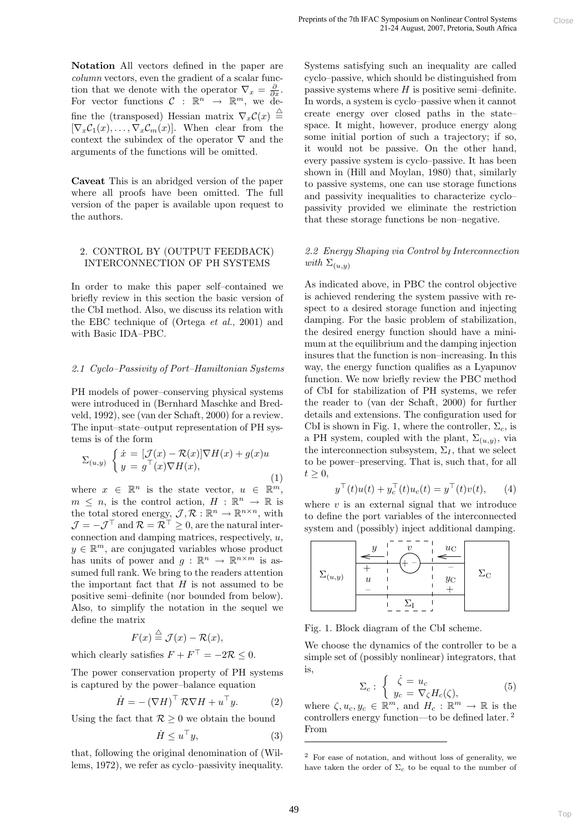Notation All vectors defined in the paper are column vectors, even the gradient of a scalar function that we denote with the operator  $\nabla_x = \frac{\partial}{\partial x}$ . For vector functions  $C : \mathbb{R}^n \to \mathbb{R}^m$ , we define the (transposed) Hessian matrix  $\nabla_x \mathcal{C}(x) \triangleq$  $[\nabla_x \mathcal{C}_1(x), \ldots, \nabla_x \mathcal{C}_m(x)]$ . When clear from the context the subindex of the operator  $\nabla$  and the arguments of the functions will be omitted.

Caveat This is an abridged version of the paper where all proofs have been omitted. The full version of the paper is available upon request to the authors.

### 2. CONTROL BY (OUTPUT FEEDBACK) INTERCONNECTION OF PH SYSTEMS

In order to make this paper self–contained we briefly review in this section the basic version of the CbI method. Also, we discuss its relation with the EBC technique of (Ortega et al., 2001) and with Basic IDA–PBC.

#### 2.1 Cyclo–Passivity of Port–Hamiltonian Systems

PH models of power–conserving physical systems were introduced in (Bernhard Maschke and Bredveld, 1992), see (van der Schaft, 2000) for a review. The input–state–output representation of PH systems is of the form

$$
\Sigma_{(u,y)}\begin{cases}\n\dot{x} = [\mathcal{J}(x) - \mathcal{R}(x)]\nabla H(x) + g(x)u \\
y = g^\top(x)\nabla H(x),\n\end{cases}
$$
\n(1)

where  $x \in \mathbb{R}^n$  is the state vector,  $u \in \mathbb{R}^m$ ,  $m \leq n$ , is the control action,  $H : \mathbb{R}^n \to \mathbb{R}$  is the total stored energy,  $\mathcal{J}, \mathcal{R} : \mathbb{R}^n \to \mathbb{R}^{n \times n}$ , with  $\mathcal{J} = -\mathcal{J}^{\top}$  and  $\mathcal{R} = \mathcal{R}^{\top} > 0$ , are the natural interconnection and damping matrices, respectively, u,  $y \in \mathbb{R}^m$ , are conjugated variables whose product has units of power and  $g: \mathbb{R}^n \to \mathbb{R}^{n \times m}$  is assumed full rank. We bring to the readers attention the important fact that  $H$  is not assumed to be positive semi–definite (nor bounded from below). Also, to simplify the notation in the sequel we define the matrix

$$
F(x) \stackrel{\triangle}{=} \mathcal{J}(x) - \mathcal{R}(x),
$$

which clearly satisfies  $F + F^{\top} = -2\mathcal{R} \leq 0$ .

The power conservation property of PH systems is captured by the power–balance equation

$$
\dot{H} = -(\nabla H)^\top \mathcal{R} \nabla H + u^\top y. \tag{2}
$$

Using the fact that  $\mathcal{R} \geq 0$  we obtain the bound

$$
\dot{H} \le u^{\top} y,\tag{3}
$$

that, following the original denomination of (Willems, 1972), we refer as cyclo–passivity inequality.

Systems satisfying such an inequality are called cyclo–passive, which should be distinguished from passive systems where  $H$  is positive semi-definite. In words, a system is cyclo–passive when it cannot create energy over closed paths in the state– space. It might, however, produce energy along some initial portion of such a trajectory; if so, it would not be passive. On the other hand, every passive system is cyclo–passive. It has been shown in (Hill and Moylan, 1980) that, similarly to passive systems, one can use storage functions and passivity inequalities to characterize cyclo– passivity provided we eliminate the restriction that these storage functions be non–negative.

# 2.2 Energy Shaping via Control by Interconnection with  $\Sigma_{(u,y)}$

As indicated above, in PBC the control objective is achieved rendering the system passive with respect to a desired storage function and injecting damping. For the basic problem of stabilization, the desired energy function should have a minimum at the equilibrium and the damping injection insures that the function is non–increasing. In this way, the energy function qualifies as a Lyapunov function. We now briefly review the PBC method of CbI for stabilization of PH systems, we refer the reader to (van der Schaft, 2000) for further details and extensions. The configuration used for CbI is shown in Fig. 1, where the controller,  $\Sigma_c$ , is a PH system, coupled with the plant,  $\Sigma_{(u,y)}$ , via the interconnection subsystem,  $\Sigma_I$ , that we select to be power–preserving. That is, such that, for all  $t \geq 0$ , **Propries of the 2011A, sympatom as volving (consideration)** Since Consideration Since the Since the Consideration Since the Consideration propries systems satisfying such as in negativity are called consider propries the

$$
y^{\top}(t)u(t) + y_c^{\top}(t)u_c(t) = y^{\top}(t)v(t), \qquad (4)
$$

where  $v$  is an external signal that we introduce to define the port variables of the interconnected system and (possibly) inject additional damping.



Fig. 1. Block diagram of the CbI scheme.

We choose the dynamics of the controller to be a simple set of (possibly nonlinear) integrators, that is,

$$
\Sigma_c: \begin{cases} \dot{\zeta} = u_c \\ y_c = \nabla_{\zeta} H_c(\zeta), \end{cases} \tag{5}
$$

where  $\zeta, u_c, y_c \in \mathbb{R}^m$ , and  $H_c : \mathbb{R}^m \to \mathbb{R}$  is the controllers energy function—to be defined later. <sup>2</sup> From

<sup>2</sup> For ease of notation, and without loss of generality, we have taken the order of  $\Sigma_c$  to be equal to the number of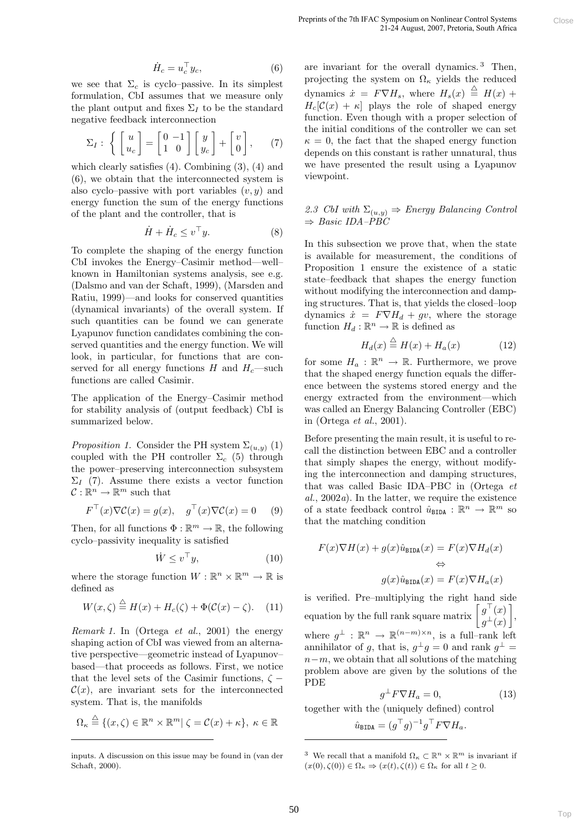$$
\dot{H}_c = u_c^\top y_c,\tag{6}
$$

we see that  $\Sigma_c$  is cyclo–passive. In its simplest formulation, CbI assumes that we measure only the plant output and fixes  $\Sigma_I$  to be the standard negative feedback interconnection

$$
\Sigma_I: \left\{ \begin{bmatrix} u \\ u_c \end{bmatrix} = \begin{bmatrix} 0 & -1 \\ 1 & 0 \end{bmatrix} \begin{bmatrix} y \\ y_c \end{bmatrix} + \begin{bmatrix} v \\ 0 \end{bmatrix}, \quad (7)
$$

which clearly satisfies (4). Combining (3), (4) and (6), we obtain that the interconnected system is also cyclo–passive with port variables  $(v, y)$  and energy function the sum of the energy functions of the plant and the controller, that is

$$
\dot{H} + \dot{H}_c \le v^\top y. \tag{8}
$$

To complete the shaping of the energy function CbI invokes the Energy–Casimir method—well– known in Hamiltonian systems analysis, see e.g. (Dalsmo and van der Schaft, 1999), (Marsden and Ratiu, 1999)—and looks for conserved quantities (dynamical invariants) of the overall system. If such quantities can be found we can generate Lyapunov function candidates combining the conserved quantities and the energy function. We will look, in particular, for functions that are conserved for all energy functions H and  $H_c$ —such functions are called Casimir.

The application of the Energy–Casimir method for stability analysis of (output feedback) CbI is summarized below.

*Proposition 1.* Consider the PH system  $\Sigma_{(u,y)}$  (1) coupled with the PH controller  $\Sigma_c$  (5) through the power–preserving interconnection subsystem  $\Sigma_I$  (7). Assume there exists a vector function  $C: \mathbb{R}^n \to \mathbb{R}^m$  such that

$$
F^{\top}(x)\nabla \mathcal{C}(x) = g(x), \quad g^{\top}(x)\nabla \mathcal{C}(x) = 0 \quad (9)
$$

Then, for all functions  $\Phi : \mathbb{R}^m \to \mathbb{R}$ , the following cyclo–passivity inequality is satisfied

$$
\dot{W} \le v^\top y,\tag{10}
$$

where the storage function  $W : \mathbb{R}^n \times \mathbb{R}^m \to \mathbb{R}$  is defined as

$$
W(x,\zeta) \stackrel{\triangle}{=} H(x) + H_c(\zeta) + \Phi(\mathcal{C}(x) - \zeta). \quad (11)
$$

Remark 1. In (Ortega et al., 2001) the energy shaping action of CbI was viewed from an alternative perspective—geometric instead of Lyapunov– based—that proceeds as follows. First, we notice that the level sets of the Casimir functions,  $\zeta$  –  $\mathcal{C}(x)$ , are invariant sets for the interconnected system. That is, the manifolds

$$
\Omega_{\kappa} \stackrel{\triangle}{=} \{ (x,\zeta) \in \mathbb{R}^n \times \mathbb{R}^m | \zeta = \mathcal{C}(x) + \kappa \}, \ \kappa \in \mathbb{R}
$$

are invariant for the overall dynamics. <sup>3</sup> Then, projecting the system on  $\Omega_{\kappa}$  yields the reduced dynamics  $\dot{x} = F \nabla H_s$ , where  $H_s(x) \triangleq H(x) +$  $H_c[\mathcal{C}(x) + \kappa]$  plays the role of shaped energy function. Even though with a proper selection of the initial conditions of the controller we can set  $\kappa = 0$ , the fact that the shaped energy function depends on this constant is rather unnatural, thus we have presented the result using a Lyapunov viewpoint. prepare ortas relation, the<br>presentes of the correlation control (terminal control (terminal control<br>in the system control of the present control of the control of the system of the system of the system of the system of t

### 2.3 CbI with  $\Sigma_{(u,y)} \Rightarrow$  Energy Balancing Control  $\Rightarrow$  Basic IDA–PBC

In this subsection we prove that, when the state is available for measurement, the conditions of Proposition 1 ensure the existence of a static state–feedback that shapes the energy function without modifying the interconnection and damping structures. That is, that yields the closed–loop dynamics  $\dot{x} = F \nabla H_d + gv$ , where the storage function  $H_d : \mathbb{R}^n \to \mathbb{R}$  is defined as

$$
H_d(x) \stackrel{\triangle}{=} H(x) + H_a(x) \tag{12}
$$

for some  $H_a: \mathbb{R}^n \to \mathbb{R}$ . Furthermore, we prove that the shaped energy function equals the difference between the systems stored energy and the energy extracted from the environment—which was called an Energy Balancing Controller (EBC) in (Ortega et al., 2001).

Before presenting the main result, it is useful to recall the distinction between EBC and a controller that simply shapes the energy, without modifying the interconnection and damping structures, that was called Basic IDA–PBC in (Ortega et  $al., 2002a$ . In the latter, we require the existence of a state feedback control  $\hat{u}_{\text{BIDA}} : \mathbb{R}^n \to \mathbb{R}^m$  so that the matching condition

$$
F(x)\nabla H(x) + g(x)\hat{u}_{\text{BIDA}}(x) = F(x)\nabla H_d(x)
$$
  
\n
$$
\Leftrightarrow
$$
  
\n
$$
g(x)\hat{u}_{\text{BIDA}}(x) = F(x)\nabla H_a(x)
$$

is verified. Pre–multiplying the right hand side equation by the full rank square matrix  $\left[ g_{\perp}^{\top}(x) \right]$  $g^\pm(x)$  , where  $g^{\perp}: \mathbb{R}^n \to \mathbb{R}^{(n-m)\times n}$ , is a full-rank left annihilator of g, that is,  $g^{\perp}g = 0$  and rank  $g^{\perp} =$  $n-m$ , we obtain that all solutions of the matching problem above are given by the solutions of the PDE

$$
{}^{\perp}F\nabla H_a = 0,\t\t(13)
$$

together with the (uniquely defined) control

g

$$
\hat{u}_{\texttt{BIDA}} = (g^{\top} g)^{-1} g^{\top} F \nabla H_a.
$$

inputs. A discussion on this issue may be found in (van der Schaft, 2000).

<sup>&</sup>lt;sup>3</sup> We recall that a manifold  $\Omega_{\kappa} \subset \mathbb{R}^n \times \mathbb{R}^m$  is invariant if  $(x(0), \zeta(0)) \in \Omega_{\kappa} \Rightarrow (x(t), \zeta(t)) \in \Omega_{\kappa}$  for all  $t \geq 0$ .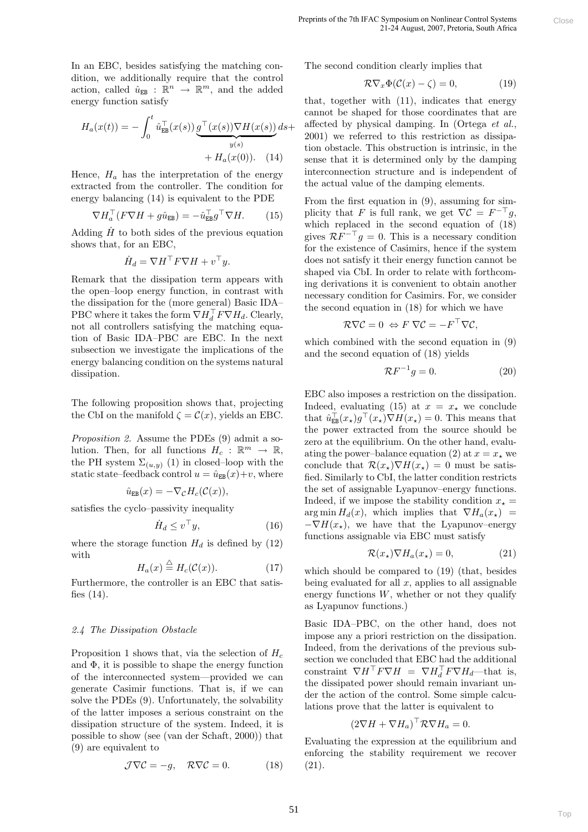In an EBC, besides satisfying the matching condition, we additionally require that the control action, called  $\hat{u}_{EB}$ :  $\mathbb{R}^n \to \mathbb{R}^m$ , and the added energy function satisfy

$$
H_a(x(t)) = -\int_0^t \hat{u}_{EB}^\top(x(s)) \underbrace{g^\top(x(s)) \nabla H(x(s))}_{y(s)} ds + H_a(x(0)). \quad (14)
$$

Hence,  $H_a$  has the interpretation of the energy extracted from the controller. The condition for energy balancing (14) is equivalent to the PDE

$$
\nabla H_a^\top (F \nabla H + g \hat{u}_{\text{EB}}) = -\hat{u}_{\text{EB}}^\top g^\top \nabla H. \qquad (15)
$$

Adding  $\dot{H}$  to both sides of the previous equation shows that, for an EBC,

$$
\dot{H}_d = \nabla H^\top F \nabla H + v^\top y.
$$

Remark that the dissipation term appears with the open–loop energy function, in contrast with the dissipation for the (more general) Basic IDA– PBC where it takes the form  $\breve{\nabla} H_d^\top F \breve{\nabla} H_d$ . Clearly, not all controllers satisfying the matching equation of Basic IDA–PBC are EBC. In the next subsection we investigate the implications of the energy balancing condition on the systems natural dissipation.

The following proposition shows that, projecting the CbI on the manifold  $\zeta = \mathcal{C}(x)$ , yields an EBC.

Proposition 2. Assume the PDEs (9) admit a solution. Then, for all functions  $H_c$ :  $\mathbb{R}^m \to \mathbb{R}$ , the PH system  $\Sigma_{(u,y)}$  (1) in closed–loop with the static state–feedback control  $u = \hat{u}_{EB}(x)+v$ , where

$$
\hat{u}_{EB}(x) = -\nabla_{\mathcal{C}} H_c(\mathcal{C}(x)),
$$

satisfies the cyclo–passivity inequality

$$
\dot{H}_d \le v^\top y,\tag{16}
$$

where the storage function  $H_d$  is defined by (12) with  $\triangle$ 

$$
H_a(x) \stackrel{\triangle}{=} H_c(\mathcal{C}(x)).\tag{17}
$$

Furthermore, the controller is an EBC that satisfies (14).

### 2.4 The Dissipation Obstacle

Proposition 1 shows that, via the selection of  $H_c$ and  $\Phi$ , it is possible to shape the energy function of the interconnected system—provided we can generate Casimir functions. That is, if we can solve the PDEs (9). Unfortunately, the solvability of the latter imposes a serious constraint on the dissipation structure of the system. Indeed, it is possible to show (see (van der Schaft, 2000)) that (9) are equivalent to

$$
\mathcal{J}\nabla \mathcal{C} = -g, \quad \mathcal{R}\nabla \mathcal{C} = 0. \tag{18}
$$

The second condition clearly implies that

$$
\mathcal{R}\nabla_x \Phi(\mathcal{C}(x) - \zeta) = 0,\tag{19}
$$

that, together with (11), indicates that energy cannot be shaped for those coordinates that are affected by physical damping. In (Ortega et al., 2001) we referred to this restriction as dissipation obstacle. This obstruction is intrinsic, in the sense that it is determined only by the damping interconnection structure and is independent of the actual value of the damping elements.

From the first equation in (9), assuming for simplicity that F is full rank, we get  $\nabla \mathcal{C} = F^{-\top}g$ , which replaced in the second equation of (18) gives  $\mathcal{R}F^{-\top}g = 0$ . This is a necessary condition for the existence of Casimirs, hence if the system does not satisfy it their energy function cannot be shaped via CbI. In order to relate with forthcoming derivations it is convenient to obtain another necessary condition for Casimirs. For, we consider the second equation in (18) for which we have

$$
\mathcal{R}\nabla\mathcal{C}=0 \Leftrightarrow F\ \nabla\mathcal{C}=-F^\top\nabla\mathcal{C},
$$

which combined with the second equation in (9) and the second equation of (18) yields

$$
\mathcal{R}F^{-1}g = 0.\t(20)
$$

EBC also imposes a restriction on the dissipation. Indeed, evaluating (15) at  $x = x_*$  we conclude that  $\hat{u}_{EB}^{\top}(x_{\star})g^{\top}(x_{\star})\nabla H(x_{\star})=0$ . This means that the power extracted from the source should be zero at the equilibrium. On the other hand, evaluating the power–balance equation (2) at  $x = x_{\star}$  we conclude that  $\mathcal{R}(x_*)\nabla H(x_*)=0$  must be satisfied. Similarly to CbI, the latter condition restricts the set of assignable Lyapunov–energy functions. Indeed, if we impose the stability condition  $x_* =$  $\arg \min H_d(x)$ , which implies that  $\nabla H_a(x_\star)$  =  $-\nabla H(x_{\star}),$  we have that the Lyapunov–energy functions assignable via EBC must satisfy **Propress or as An-IDA** Appearance are as a function of the second control and the second condition clearly implies that<br>
The second condition clearly implies that<br>  $\nabla \nabla_{\nu} \Phi(C(\mathbf{c})) = 0$ , (10)<br>
The second condition cl

$$
\mathcal{R}(x_{\star})\nabla H_a(x_{\star}) = 0, \tag{21}
$$

which should be compared to (19) (that, besides being evaluated for all  $x$ , applies to all assignable energy functions  $W$ , whether or not they qualify as Lyapunov functions.)

Basic IDA–PBC, on the other hand, does not impose any a priori restriction on the dissipation. Indeed, from the derivations of the previous subsection we concluded that EBC had the additional constraint  $\nabla H^{\top} F \nabla H = \nabla H_d^{\top} F \nabla H_d$ —that is, the dissipated power should remain invariant under the action of the control. Some simple calculations prove that the latter is equivalent to

$$
(2\nabla H + \nabla H_a)^\top \mathcal{R} \nabla H_a = 0.
$$

Evaluating the expression at the equilibrium and enforcing the stability requirement we recover (21).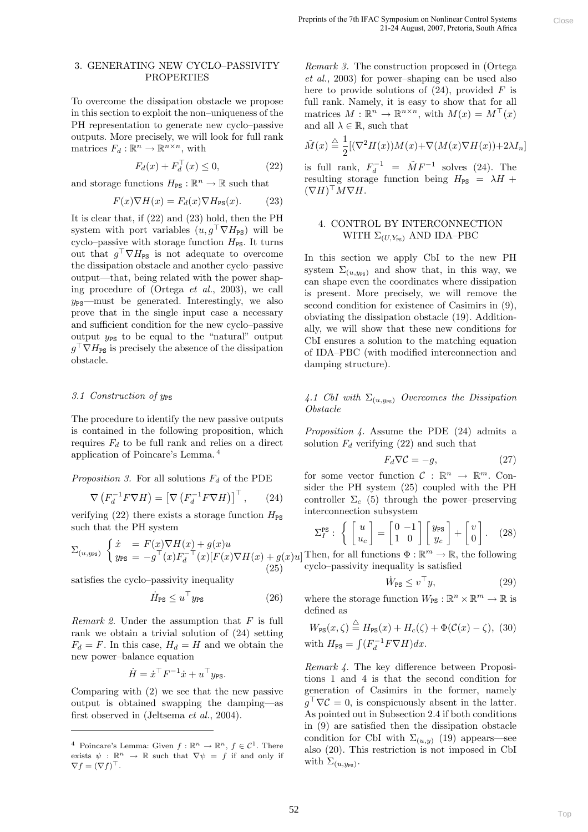### 3. GENERATING NEW CYCLO–PASSIVITY PROPERTIES

To overcome the dissipation obstacle we propose in this section to exploit the non–uniqueness of the PH representation to generate new cyclo–passive outputs. More precisely, we will look for full rank matrices  $F_d : \mathbb{R}^n \to \mathbb{R}^{n \times n}$ , with

$$
F_d(x) + F_d^\top(x) \le 0,\tag{22}
$$

and storage functions  $H_{\text{PS}} : \mathbb{R}^n \to \mathbb{R}$  such that

$$
F(x)\nabla H(x) = F_d(x)\nabla H_{\rm PS}(x). \tag{23}
$$

It is clear that, if (22) and (23) hold, then the PH system with port variables  $(u, g^{\top} \nabla H_{\text{PS}})$  will be cyclo–passive with storage function  $H_{PS}$ . It turns out that  $g^{\top} \nabla H_{\text{PS}}$  is not adequate to overcome the dissipation obstacle and another cyclo–passive output—that, being related with the power shaping procedure of (Ortega et al., 2003), we call  $y_{PS}$ —must be generated. Interestingly, we also prove that in the single input case a necessary and sufficient condition for the new cyclo–passive output  $y_{PS}$  to be equal to the "natural" output  $g^{\top} \nabla H_{\text{PS}}$  is precisely the absence of the dissipation obstacle.

## 3.1 Construction of  $y_{PS}$

The procedure to identify the new passive outputs is contained in the following proposition, which requires  $F_d$  to be full rank and relies on a direct application of Poincare's Lemma. <sup>4</sup>

*Proposition 3.* For all solutions  $F_d$  of the PDE

$$
\nabla \left( F_d^{-1} F \nabla H \right) = \left[ \nabla \left( F_d^{-1} F \nabla H \right) \right]^\top, \qquad (24)
$$

verifying (22) there exists a storage function  $H_{PS}$ such that the PH system

$$
\Sigma_{(u,y_{\text{PS}})}\begin{cases}\n\dot{x} = F(x)\nabla H(x) + g(x)u \\
y_{\text{PS}} = -g^{\top}(x)F_d^{-\top}(x)[F(x)\nabla H(x) + g(x)u] \\
(25)\n\end{cases}
$$

satisfies the cyclo–passivity inequality

$$
\dot{H}_{\rm PS} \le u^\top y_{\rm PS} \tag{26}
$$

*Remark 2.* Under the assumption that  $F$  is full rank we obtain a trivial solution of (24) setting  $F_d = F$ . In this case,  $H_d = H$  and we obtain the new power–balance equation

$$
\dot{H} = \dot{x}^\top F^{-1} \dot{x} + u^\top y_{\text{PS}}.
$$

Comparing with (2) we see that the new passive output is obtained swapping the damping—as first observed in (Jeltsema et al., 2004).

Remark 3. The construction proposed in (Ortega et al., 2003) for power–shaping can be used also here to provide solutions of  $(24)$ , provided F is full rank. Namely, it is easy to show that for all matrices  $M : \mathbb{R}^n \to \mathbb{R}^{n \times n}$ , with  $M(x) = M^{\top}(x)$ and all  $\lambda \in \mathbb{R}$ , such that

$$
\tilde{M}(x) \stackrel{\triangle}{=} \frac{1}{2} [(\nabla^2 H(x))M(x) + \nabla (M(x)\nabla H(x)) + 2\lambda I_n]
$$

is full rank,  $F_d^{-1} = \tilde{M}F^{-1}$  solves (24). The resulting storage function being  $H_{PS} = \lambda H +$  $(\nabla H)^\top M \nabla H.$ 

# 4. CONTROL BY INTERCONNECTION WITH  $\Sigma_{(U,Y_{\text{PS}})}$  AND IDA–PBC

In this section we apply CbI to the new PH system  $\Sigma_{(u,y_{\text{PS}})}$  and show that, in this way, we can shape even the coordinates where dissipation is present. More precisely, we will remove the second condition for existence of Casimirs in (9), obviating the dissipation obstacle (19). Additionally, we will show that these new conditions for CbI ensures a solution to the matching equation of IDA–PBC (with modified interconnection and damping structure). **Propress of the All-All-Valyaphame and where the main cannot be easily considered in (Ortego<br>**  $R$  **close the All-Close scheme and the all-<br>**  $R$  **consider the provide scheme and the all-<br>
all-Close scheme be provide scheme** 

4.1 CbI with  $\Sigma_{(u,y_{\text{PS}})}$  Overcomes the Dissipation Obstacle

Proposition 4. Assume the PDE (24) admits a solution  $F_d$  verifying (22) and such that

$$
F_d \nabla \mathcal{C} = -g,\tag{27}
$$

for some vector function  $C : \mathbb{R}^n \to \mathbb{R}^m$ . Consider the PH system (25) coupled with the PH controller  $\Sigma_c$  (5) through the power–preserving interconnection subsystem

$$
\Sigma_I^{\text{PS}}: \left\{ \begin{bmatrix} u \\ u_c \end{bmatrix} = \begin{bmatrix} 0 & -1 \\ 1 & 0 \end{bmatrix} \begin{bmatrix} y_{\text{PS}} \\ y_c \end{bmatrix} + \begin{bmatrix} v \\ 0 \end{bmatrix}. \quad (28)
$$

Then, for all functions  $\Phi : \mathbb{R}^m \to \mathbb{R}$ , the following cyclo–passivity inequality is satisfied

$$
\dot{W}_{\text{PS}} \le v^\top y,\tag{29}
$$

where the storage function  $W_{\text{PS}} : \mathbb{R}^n \times \mathbb{R}^m \to \mathbb{R}$  is defined as

$$
W_{\text{PS}}(x,\zeta) \stackrel{\triangle}{=} H_{\text{PS}}(x) + H_c(\zeta) + \Phi(\mathcal{C}(x) - \zeta), \tag{30}
$$
  
with  $H_{\text{PS}} = \int (F_d^{-1}F\nabla H)dx$ .

Remark 4. The key difference between Propositions 1 and 4 is that the second condition for generation of Casimirs in the former, namely  $g^{\top}\nabla \mathcal{C} = 0$ , is conspicuously absent in the latter. As pointed out in Subsection 2.4 if both conditions in (9) are satisfied then the dissipation obstacle condition for CbI with  $\Sigma_{(u,y)}$  (19) appears—see also (20). This restriction is not imposed in CbI with  $\Sigma_{(u,y_{\text{PS}})}.$ 

<sup>&</sup>lt;sup>4</sup> Poincare's Lemma: Given  $f : \mathbb{R}^n \to \mathbb{R}^n$ ,  $f \in \mathcal{C}^1$ . There exists  $\psi : \mathbb{R}^n \to \mathbb{R}$  such that  $\nabla \psi = f$  if and only if  $\nabla f = (\nabla f)^\top.$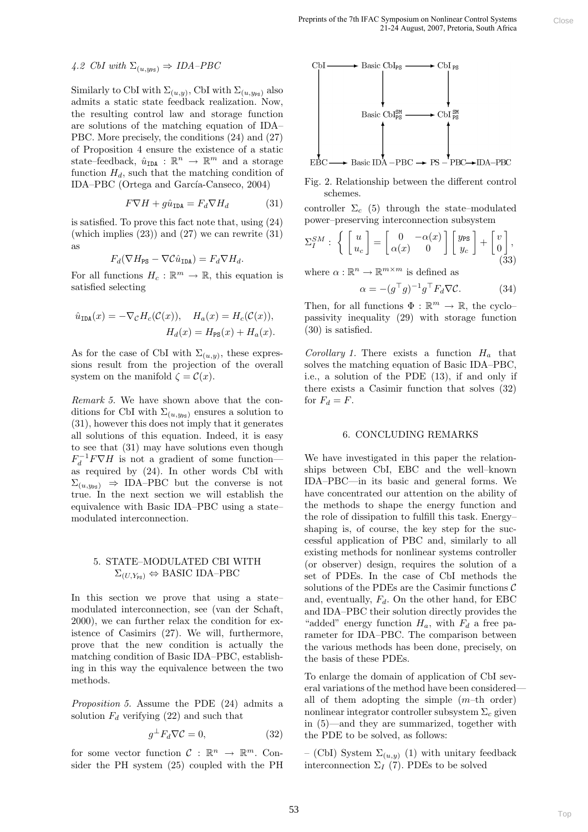# 4.2 CbI with  $\Sigma_{(u,y_{\text{PS}})} \Rightarrow IDA-PBC$

Similarly to CbI with  $\Sigma_{(u,y)}$ , CbI with  $\Sigma_{(u,y_{\text{PS}})}$  also admits a static state feedback realization. Now, the resulting control law and storage function are solutions of the matching equation of IDA– PBC. More precisely, the conditions (24) and (27) of Proposition 4 ensure the existence of a static state–feedback,  $\hat{u}_{\text{IDA}}$ :  $\mathbb{R}^n \to \mathbb{R}^m$  and a storage function  $H_d$ , such that the matching condition of IDA–PBC (Ortega and García-Canseco, 2004)

$$
F\nabla H + g\hat{u}_{\text{IDA}} = F_d \nabla H_d \tag{31}
$$

is satisfied. To prove this fact note that, using (24) (which implies  $(23)$ ) and  $(27)$  we can rewrite  $(31)$ as

$$
F_d(\nabla H_{\text{PS}} - \nabla \mathcal{C} \hat{u}_{\text{IDA}}) = F_d \nabla H_d.
$$

For all functions  $H_c : \mathbb{R}^m \to \mathbb{R}$ , this equation is satisfied selecting

$$
\hat{u}_{\text{IDA}}(x) = -\nabla_{\mathcal{C}} H_c(\mathcal{C}(x)), \quad H_a(x) = H_c(\mathcal{C}(x)),
$$
  

$$
H_d(x) = H_{\text{PS}}(x) + H_a(x).
$$

As for the case of CbI with  $\Sigma_{(u,y)}$ , these expressions result from the projection of the overall system on the manifold  $\zeta = \mathcal{C}(x)$ .

Remark 5. We have shown above that the conditions for CbI with  $\Sigma_{(u,y_{\text{PS}})}$  ensures a solution to (31), however this does not imply that it generates all solutions of this equation. Indeed, it is easy to see that (31) may have solutions even though  $F_d^{-1}F\nabla H$  is not a gradient of some function as required by (24). In other words CbI with  $\Sigma_{(u,y_{\text{PS}})} \Rightarrow \text{IDA-PBC}$  but the converse is not true. In the next section we will establish the equivalence with Basic IDA–PBC using a state– modulated interconnection.

# 5. STATE–MODULATED CBI WITH  $\Sigma_{(U,Y_{\text{PS}})} \Leftrightarrow$  BASIC IDA–PBC

In this section we prove that using a state– modulated interconnection, see (van der Schaft, 2000), we can further relax the condition for existence of Casimirs (27). We will, furthermore, prove that the new condition is actually the matching condition of Basic IDA–PBC, establishing in this way the equivalence between the two methods.

Proposition 5. Assume the PDE (24) admits a solution  $F_d$  verifying (22) and such that

$$
g^{\perp}F_d \nabla \mathcal{C} = 0,\t\t(32)
$$

for some vector function  $C : \mathbb{R}^n \to \mathbb{R}^m$ . Consider the PH system (25) coupled with the PH





controller  $\Sigma_c$  (5) through the state–modulated power–preserving interconnection subsystem

$$
\Sigma_I^{SM} : \left\{ \begin{bmatrix} u \\ u_c \end{bmatrix} = \begin{bmatrix} 0 & -\alpha(x) \\ \alpha(x) & 0 \end{bmatrix} \begin{bmatrix} y_{\text{PS}} \\ y_c \end{bmatrix} + \begin{bmatrix} v \\ 0 \\ 0 \end{bmatrix}, \tag{33}
$$

where  $\alpha : \mathbb{R}^n \to \mathbb{R}^{m \times m}$  is defined as

$$
\alpha = -(g^{\top}g)^{-1}g^{\top}F_d\nabla \mathcal{C}.
$$
 (34)

Then, for all functions  $\Phi : \mathbb{R}^m \to \mathbb{R}$ , the cyclopassivity inequality (29) with storage function (30) is satisfied.

Corollary 1. There exists a function  $H_a$  that solves the matching equation of Basic IDA–PBC, i.e., a solution of the PDE (13), if and only if there exists a Casimir function that solves (32) for  $F_d = F$ .

#### 6. CONCLUDING REMARKS

We have investigated in this paper the relationships between CbI, EBC and the well–known IDA–PBC—in its basic and general forms. We have concentrated our attention on the ability of the methods to shape the energy function and the role of dissipation to fulfill this task. Energy– shaping is, of course, the key step for the successful application of PBC and, similarly to all existing methods for nonlinear systems controller (or observer) design, requires the solution of a set of PDEs. In the case of CbI methods the solutions of the PDEs are the Casimir functions  $\mathcal C$ and, eventually,  $F_d$ . On the other hand, for EBC and IDA–PBC their solution directly provides the "added" energy function  $H_a$ , with  $F_d$  a free parameter for IDA–PBC. The comparison between the various methods has been done, precisely, on the basis of these PDEs. **Propries of the 2011Ally sympatom as volving (2013)**<br>
The matrix of the spin Close of the spin Close and the spin Close of the spin Close (1648)<br>  $\text{BisC} = \text{BisC} \text{DisC} + \text{BisC} \text{DisC} + \text{BisC} \text{DisC} + \text{BisC} \text{DisC} + \text{Bis$ 

To enlarge the domain of application of CbI several variations of the method have been considered all of them adopting the simple  $(m$ -th order) nonlinear integrator controller subsystem  $\Sigma_c$  given in (5)—and they are summarized, together with the PDE to be solved, as follows:

– (CbI) System  $\Sigma_{(u,y)}$  (1) with unitary feedback interconnection  $\Sigma_I$  (7). PDEs to be solved